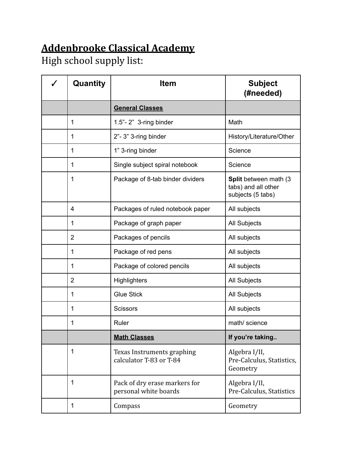## **Addenbrooke Classical Academy**

High school supply list:

| Quantity       | <b>Item</b>                                            | <b>Subject</b><br>(#needed)                                       |
|----------------|--------------------------------------------------------|-------------------------------------------------------------------|
|                | <b>General Classes</b>                                 |                                                                   |
| 1              | $1.5"$ - $2"$ 3-ring binder                            | Math                                                              |
| 1              | 2"-3" 3-ring binder                                    | History/Literature/Other                                          |
| 1              | 1" 3-ring binder                                       | Science                                                           |
| 1              | Single subject spiral notebook                         | Science                                                           |
| 1              | Package of 8-tab binder dividers                       | Split between math (3<br>tabs) and all other<br>subjects (5 tabs) |
| 4              | Packages of ruled notebook paper                       | All subjects                                                      |
| 1              | Package of graph paper                                 | All Subjects                                                      |
| $\overline{2}$ | Packages of pencils                                    | All subjects                                                      |
| 1              | Package of red pens                                    | All subjects                                                      |
| 1              | Package of colored pencils                             | All subjects                                                      |
| $\overline{2}$ | Highlighters                                           | All Subjects                                                      |
| 1              | <b>Glue Stick</b>                                      | All Subjects                                                      |
| 1              | Scissors                                               | All subjects                                                      |
| 1              | Ruler                                                  | math/ science                                                     |
|                | <b>Math Classes</b>                                    | If you're taking                                                  |
| 1              | Texas Instruments graphing<br>calculator T-83 or T-84  | Algebra I/II,<br>Pre-Calculus, Statistics,<br>Geometry            |
| 1              | Pack of dry erase markers for<br>personal white boards | Algebra I/II,<br>Pre-Calculus, Statistics                         |
| 1              | Compass                                                | Geometry                                                          |